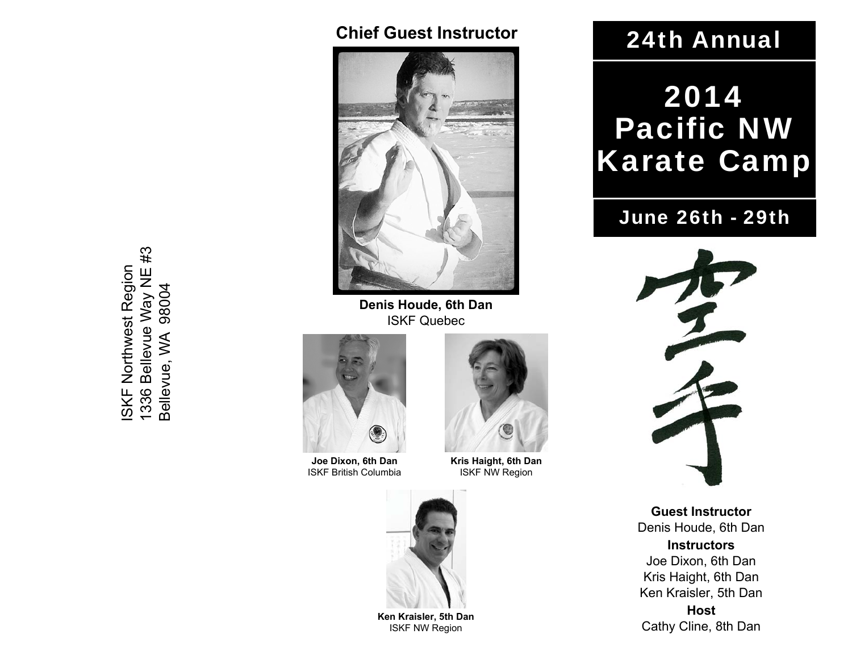#### **Chief Guest Instructor**



**Denis Houde, 6th Dan** ISKF Quebec



**Joe Dixon, 6th Dan** ISKF British Columbia



**Kris Haight, 6th Dan** ISKF NW Region



**Ken Kraisler, 5th Dan** ISKF NW Region

## 24th Annual

# 2014 Pacific NW Karate Camp

## June 26th - 29th



**Guest Instructor**Denis Houde, 6th Dan **Instructors** Joe Dixon, 6th Dan Kris Haight, 6th Dan Ken Kraisler, 5th Dan **Host** Cathy Cline, 8th Dan

1336 Bellevue Way NE #3  $#3$ ISKF Northwest Region **ISKF Northwest Region** 1336 Bellevue Way NE<br>Bellevue, WA 98004 Bellevue, WA 98004